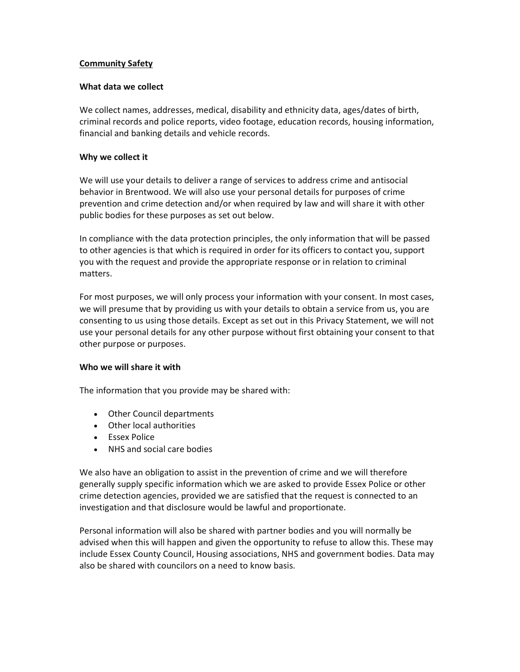# Community Safety

### What data we collect

We collect names, addresses, medical, disability and ethnicity data, ages/dates of birth, criminal records and police reports, video footage, education records, housing information, financial and banking details and vehicle records.

### Why we collect it

We will use your details to deliver a range of services to address crime and antisocial behavior in Brentwood. We will also use your personal details for purposes of crime prevention and crime detection and/or when required by law and will share it with other public bodies for these purposes as set out below.

In compliance with the data protection principles, the only information that will be passed to other agencies is that which is required in order for its officers to contact you, support you with the request and provide the appropriate response or in relation to criminal matters.

For most purposes, we will only process your information with your consent. In most cases, we will presume that by providing us with your details to obtain a service from us, you are consenting to us using those details. Except as set out in this Privacy Statement, we will not use your personal details for any other purpose without first obtaining your consent to that other purpose or purposes.

#### Who we will share it with

The information that you provide may be shared with:

- Other Council departments
- Other local authorities
- Essex Police
- NHS and social care bodies

We also have an obligation to assist in the prevention of crime and we will therefore generally supply specific information which we are asked to provide Essex Police or other crime detection agencies, provided we are satisfied that the request is connected to an investigation and that disclosure would be lawful and proportionate.

Personal information will also be shared with partner bodies and you will normally be advised when this will happen and given the opportunity to refuse to allow this. These may include Essex County Council, Housing associations, NHS and government bodies. Data may also be shared with councilors on a need to know basis.